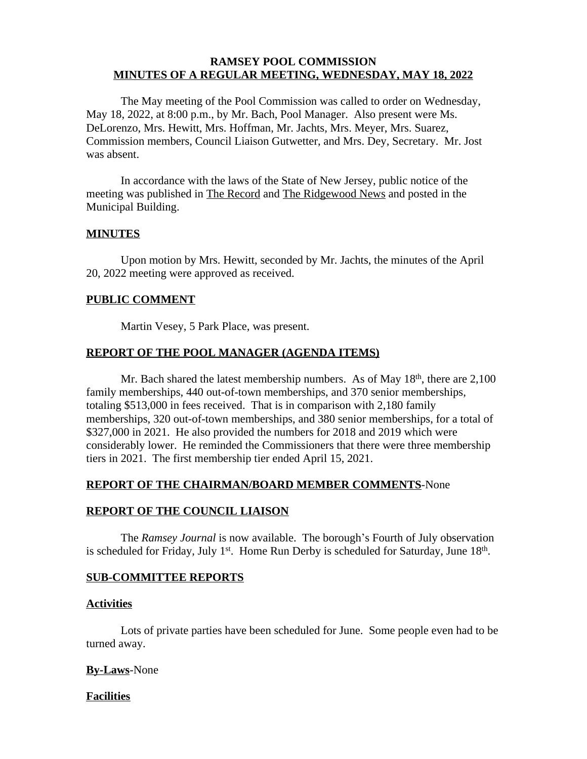## **RAMSEY POOL COMMISSION MINUTES OF A REGULAR MEETING, WEDNESDAY, MAY 18, 2022**

The May meeting of the Pool Commission was called to order on Wednesday, May 18, 2022, at 8:00 p.m., by Mr. Bach, Pool Manager. Also present were Ms. DeLorenzo, Mrs. Hewitt, Mrs. Hoffman, Mr. Jachts, Mrs. Meyer, Mrs. Suarez, Commission members, Council Liaison Gutwetter, and Mrs. Dey, Secretary. Mr. Jost was absent.

In accordance with the laws of the State of New Jersey, public notice of the meeting was published in The Record and The Ridgewood News and posted in the Municipal Building.

## **MINUTES**

Upon motion by Mrs. Hewitt, seconded by Mr. Jachts, the minutes of the April 20, 2022 meeting were approved as received.

### **PUBLIC COMMENT**

Martin Vesey, 5 Park Place, was present.

## **REPORT OF THE POOL MANAGER (AGENDA ITEMS)**

Mr. Bach shared the latest membership numbers. As of May 18<sup>th</sup>, there are 2,100 family memberships, 440 out-of-town memberships, and 370 senior memberships, totaling \$513,000 in fees received. That is in comparison with 2,180 family memberships, 320 out-of-town memberships, and 380 senior memberships, for a total of \$327,000 in 2021. He also provided the numbers for 2018 and 2019 which were considerably lower. He reminded the Commissioners that there were three membership tiers in 2021. The first membership tier ended April 15, 2021.

## **REPORT OF THE CHAIRMAN/BOARD MEMBER COMMENTS**-None

### **REPORT OF THE COUNCIL LIAISON**

The *Ramsey Journal* is now available. The borough's Fourth of July observation is scheduled for Friday, July 1<sup>st</sup>. Home Run Derby is scheduled for Saturday, June 18<sup>th</sup>.

#### **SUB-COMMITTEE REPORTS**

#### **Activities**

Lots of private parties have been scheduled for June. Some people even had to be turned away.

## **By-Laws**-None

#### **Facilities**